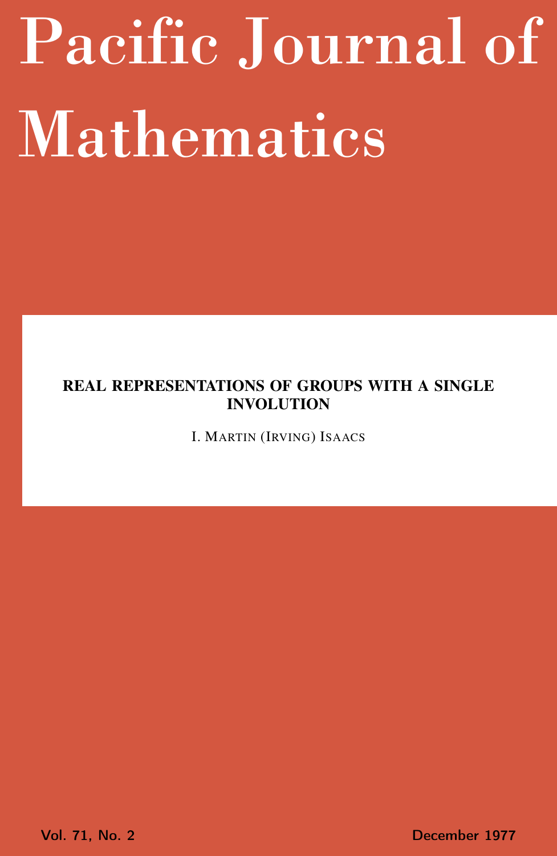# <span id="page-0-0"></span>Pacific Journal of Mathematics

## REAL REPRESENTATIONS OF GROUPS WITH A SINGLE INVOLUTION

I. MARTIN (IRVING) ISAACS

Vol. 71, No. 2 December 1977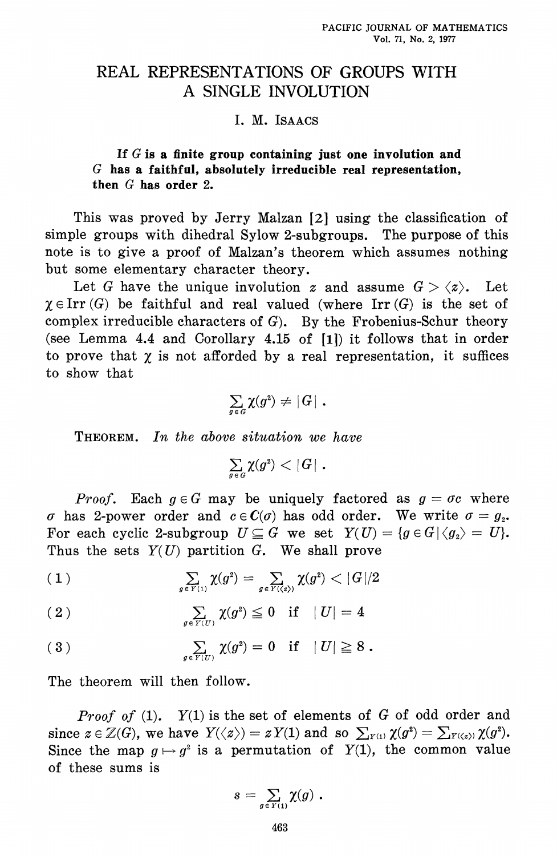## REAL REPRESENTATIONS OF GROUPS WITH A SINGLE INVOLUTION

### I. M. ISAACS

If  $G$  is a finite group containing just one involution and  $G$  has a faithful, absolutely irreducible real representation, then  $G$  has order 2.

This was proved by Jerry Malzan [2] using the classification of simple groups with dihedral Sylow 2-subgroups. The purpose of this note is to give a proof of Malzan's theorem which assumes nothing but some elementary character theory.

Let G have the unique involution z and assume  $G > \langle z \rangle$ . Let  $\chi \in \text{Irr}(G)$  be faithful and real valued (where Irr(G) is the set of complex irreducible characters of  $G$ ). By the Frobenius-Schur theory (see Lemma 4.4 and Corollary 4.15 of  $[1]$ ) it follows that in order to prove that  $\chi$  is not afforded by a real representation, it suffices to show that

$$
\sum_{g\,\in\, G} \chi(g^{\mathsf{2}})\,\neq\,|\,G\,|\,\,.
$$

**THEOREM.** In the above situation we have

 $\sum_{g \in G} \chi(g^2) < |G|$ .

*Proof.* Each  $g \in G$  may be uniquely factored as  $g = \sigma c$  where  $\sigma$  has 2-power order and  $c \in \mathcal{C}(\sigma)$  has odd order. We write  $\sigma = g_{2}$ . For each cyclic 2-subgroup  $U \subseteq G$  we set  $Y(U) = \{g \in G | \langle g_2 \rangle = U\}.$ Thus the sets  $Y(U)$  partition G. We shall prove

$$
(1) \qquad \qquad \sum_{g \in Y(1)} \chi(g^2) = \sum_{g \in Y(\langle z \rangle)} \chi(g^2) < |G|/2
$$

$$
(2) \qquad \qquad \sum_{g \in Y(U)} \chi(g^2) \leq 0 \quad \text{if} \quad |U| = 4
$$

$$
(3) \qquad \qquad \sum_{g \in Y(U)} \chi(g^2) = 0 \quad \text{if} \quad |U| \geq 8 .
$$

The theorem will then follow.

*Proof of* (1).  $Y(1)$  is the set of elements of G of odd order and since  $z \in \mathbb{Z}(G)$ , we have  $Y(\langle z \rangle) = z Y(1)$  and so  $\sum_{Y^{(1)}} \chi(g^2) = \sum_{Y(\langle z \rangle)} \chi(g^2)$ . Since the map  $q \mapsto q^2$  is a permutation of  $Y(1)$ , the common value of these sums is

$$
s = \sum_{g \in Y(1)} \chi(g) .
$$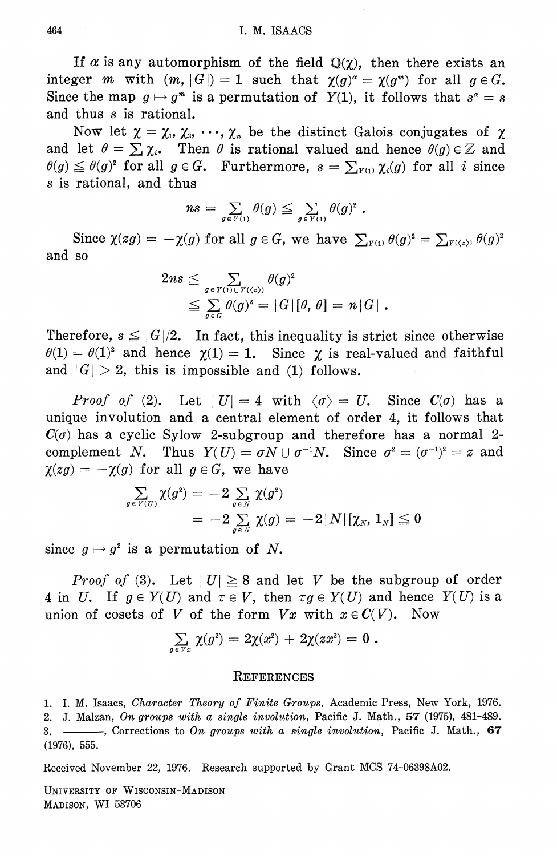If  $\alpha$  is any automorphism of the field  $\mathbb{Q}(\gamma)$ , then there exists an integer *m* with  $(m, |G|) = 1$  such that  $\chi(g)^{\alpha} = \chi(g^{m})$  for all  $g \in G$ . Since the map  $g \mapsto g^m$  is a permutation of  $Y(1)$ , it follows that  $s^{\alpha} = s$ and thus s is rational.

Now let  $\chi = \chi_1, \chi_2, \cdots, \chi_n$  be the distinct Galois conjugates of  $\chi$ and let  $\theta = \sum \chi_i$ . Then  $\theta$  is rational valued and hence  $\theta(g) \in \mathbb{Z}$  and  $\theta(g) \leq \theta(g)^2$  for all  $g \in G$ . Furthermore,  $s = \sum_{i \in I_1} \chi_i(g)$  for all i since s is rational, and thus

$$
ns = \sum_{g \in Y(1)} \theta(g) \leqq \sum_{g \in Y(1)} \theta(g)^2.
$$

Since  $\chi(g) = -\chi(g)$  for all  $g \in G$ , we have  $\sum_{y \in G} \theta(g)^2 = \sum_{y \in G} \theta(g)^2$ and so

$$
2ns \leqq \sum_{g \in Y(1) \cup Y(\langle z \rangle)} \theta(g)^2
$$
  
 
$$
\leqq \sum_{g \in G} \theta(g)^2 = |G| [\theta, \theta] = n |G|.
$$

Therefore,  $s \leq |G|/2$ . In fact, this inequality is strict since otherwise  $\theta(1) = \theta(1)^2$  and hence  $\chi(1) = 1$ . Since  $\chi$  is real-valued and faithful and  $|G| > 2$ , this is impossible and (1) follows.

*Proof of* (2). Let  $|U| = 4$  with  $\langle \sigma \rangle = U$ . Since  $C(\sigma)$  has a unique involution and a central element of order 4, it follows that  $C(\sigma)$  has a cyclic Sylow 2-subgroup and therefore has a normal 2complement N. Thus  $Y(U) = \sigma N \cup \sigma^{-1} N$ . Since  $\sigma^2 = (\sigma^{-1})^2 = z$  and  $\chi(zg) = -\chi(g)$  for all  $g \in G$ , we have

$$
\begin{array}{l} \sum\limits_{g\, \in \, Y(U)} \chi(g^2) \,=\, -2 \sum\limits_{g\, \in \, N} \, \chi(g^2) \\ \qquad \ \ = \,-2 \sum\limits_{g\, \in \, N} \, \chi(g) \,=\, -2 \,|\, N \,|\, [\chi_N,\, 1_N] \leqq 0 \end{array}
$$

since  $g \mapsto g^2$  is a permutation of N.

*Proof of* (3). Let  $|U| \geq 8$  and let V be the subgroup of order 4 in U. If  $g \in Y(U)$  and  $\tau \in V$ , then  $\tau g \in Y(U)$  and hence  $Y(U)$  is a union of cosets of V of the form  $Vx$  with  $x \in C(V)$ . Now

$$
\textstyle \sum\limits_{g\,\in\,V\,x}\,\chi(g^2)\,=\,2\chi(x^2)\,+\,2\chi(zx^2)\,=\,0\,\,.
$$

#### **REFERENCES**

1. I. M. Isaacs, Character Theory of Finite Groups, Academic Press, New York, 1976. 2. J. Malzan, On groups with a single involution, Pacific J. Math., 57 (1975), 481-489. ----, Corrections to On groups with a single involution, Pacific J. Math., 67  $3. (1976), 555.$ 

Received November 22, 1976. Research supported by Grant MCS 74-06398A02.

UNIVERSITY OF WISCONSIN-MADISON MADISON, WI 53706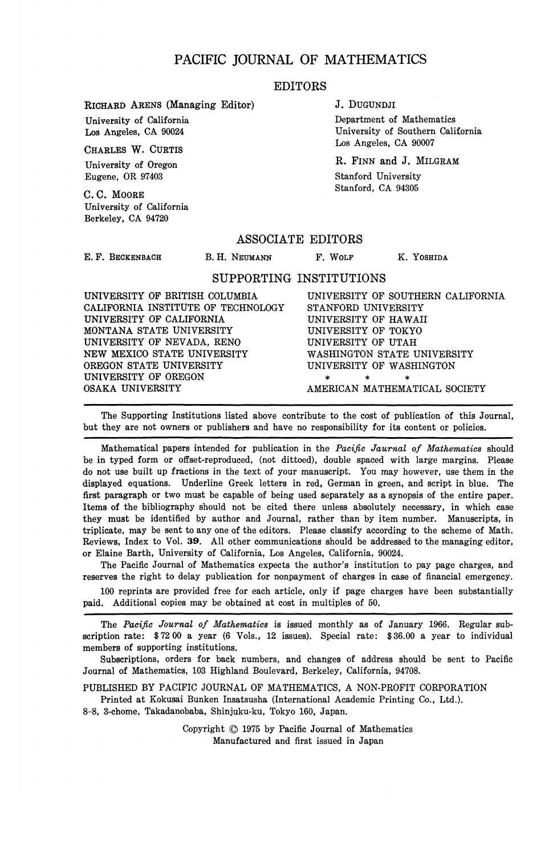#### PACIFIC JOURNAL OF MATHEMATICS

#### EDITORS

RICHARD ARENS (Managing Editor)

University of California Los Angeles, CA 90024

CHARLES W. CURTIS University of Oregon

Eugene, OR 97403

C. C. MOORE University of California Berkeley, CA 94720

#### J. DUGUNDJI

Department of Mathematics University of Southern California Los Angeles, CA 90007

R. FINN and J. MILGRAM Stanford University Stanford, CA 94305

#### ASSOCIATE EDITORS

E. F. BECKENBACH

B. H. NEUMANN F. WOLF K. YOSHIDA

#### SUPPORTING INSTITUTIONS

| CALIFORNIA INSTITUTE OF TECHNOLOGY<br>STANFORD UNIVERSITY<br>UNIVERSITY OF CALIFORNIA<br>UNIVERSITY OF HAWAII<br>MONTANA STATE UNIVERSITY<br>UNIVERSITY OF TOKYO<br>UNIVERSITY OF NEVADA, RENO<br>UNIVERSITY OF UTAH<br>NEW MEXICO STATE UNIVERSITY<br>WASHINGTON STATE UNIVERSITY<br>OREGON STATE UNIVERSITY<br>UNIVERSITY OF WASHINGTON<br>UNIVERSITY OF OREGON<br>$\ast$<br>*<br>$\ast$ | UNIVERSITY OF BRITISH COLUMBIA | UNIVERSITY OF SOUTHERN CALIFORNIA |
|--------------------------------------------------------------------------------------------------------------------------------------------------------------------------------------------------------------------------------------------------------------------------------------------------------------------------------------------------------------------------------------------|--------------------------------|-----------------------------------|
|                                                                                                                                                                                                                                                                                                                                                                                            |                                |                                   |
|                                                                                                                                                                                                                                                                                                                                                                                            |                                |                                   |
|                                                                                                                                                                                                                                                                                                                                                                                            |                                |                                   |
|                                                                                                                                                                                                                                                                                                                                                                                            |                                |                                   |
|                                                                                                                                                                                                                                                                                                                                                                                            |                                |                                   |
|                                                                                                                                                                                                                                                                                                                                                                                            |                                |                                   |
|                                                                                                                                                                                                                                                                                                                                                                                            |                                |                                   |
|                                                                                                                                                                                                                                                                                                                                                                                            | OSAKA UNIVERSITY               | AMERICAN MATHEMATICAL SOCIETY     |

The Supporting Institutions listed above contribute to the cost of publication of this Journal, but they are not owners or publishers and have no responsibility for its content or policies.

Mathematical papers intended for publication in the *Pacific Jaurnal of Mathematics* should be in typed form or offset-reproduced, (not dittoed), double spaced with large margins. Please do not use built up fractions in the text of your manuscript. You may however, use them in the displayed equations. Underline Greek letters in red, German in green, and script in blue. The first paragraph or two must be capable of being used separately as a synopsis of the entire paper. Items of the bibliography should not be cited there unless absolutely necessary, in which case they must be identified by author and Journal, rather than by item number. Manuscripts, in triplicate, may be sent to any one of the editors. Please classify according to the scheme of Math. Reviews, Index to Vol. 39. All other communications should be addressed to the managing editor, or Elaine Barth, University of California, Los Angeles, California, 90024.

The Pacific Journal of Mathematics expects the author's institution to pay page charges, and reserves the right to delay publication for nonpayment of charges in case of financial emergency.

100 reprints are provided free for each article, only if page charges have been substantially paid. Additional copies may be obtained at cost in multiples of 50.

The *Pacific Journal of Mathematics* is issued monthly as of January 1966. Regular subscription rate: \$72 00 a year (6 Vols., 12 issues). Special rate: \$36.00 a year to individual members of supporting institutions.

Subscriptions, orders for back numbers, and changes of address should be sent to Pacific Journal of Mathematics, 103 Highland Boulevard, Berkeley, California, 94708.

PUBLISHED BY PACIFIC JOURNAL OF MATHEMATICS, A NON-PROFIT CORPORATION Printed at Kokusai Bunken Insatsusha (International Academic Printing Co., Ltd.).

8-8, 3-chome, Takadanobaba, Shinjuku-ku, Tokyo 160, Japan.

Copyright © 1975 by Pacific Journal of Mathematics Manufactured and first issued in Japan